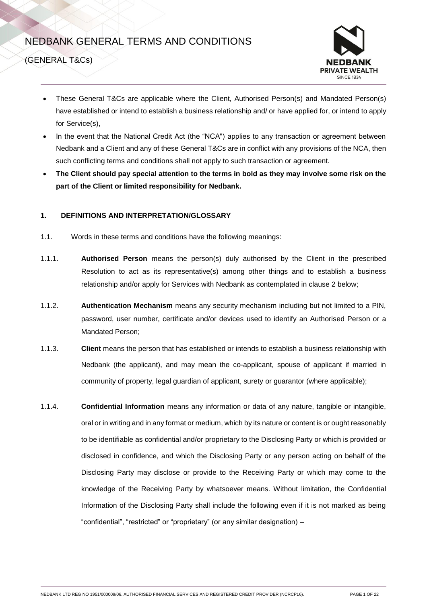# NEDBANK GENERAL TERMS AND CONDITIONS



(GENERAL T&Cs)

- These General T&Cs are applicable where the Client, Authorised Person(s) and Mandated Person(s) have established or intend to establish a business relationship and/ or have applied for, or intend to apply for Service(s),
- In the event that the National Credit Act (the "NCA") applies to any transaction or agreement between Nedbank and a Client and any of these General T&Cs are in conflict with any provisions of the NCA, then such conflicting terms and conditions shall not apply to such transaction or agreement.
- **The Client should pay special attention to the terms in bold as they may involve some risk on the part of the Client or limited responsibility for Nedbank.**

# **1. DEFINITIONS AND INTERPRETATION/GLOSSARY**

- <span id="page-0-0"></span>1.1. Words in these terms and conditions have the following meanings:
- 1.1.1. **Authorised Person** means the person(s) duly authorised by the Client in the prescribed Resolution to act as its representative(s) among other things and to establish a business relationship and/or apply for Services with Nedbank as contemplated in clause 2 below;
- 1.1.2. **Authentication Mechanism** means any security mechanism including but not limited to a PIN, password, user number, certificate and/or devices used to identify an Authorised Person or a Mandated Person;
- 1.1.3. **Client** means the person that has established or intends to establish a business relationship with Nedbank (the applicant), and may mean the co-applicant, spouse of applicant if married in community of property, legal guardian of applicant, surety or guarantor (where applicable);
- 1.1.4. **Confidential Information** means any information or data of any nature, tangible or intangible, oral or in writing and in any format or medium, which by its nature or content is or ought reasonably to be identifiable as confidential and/or proprietary to the Disclosing Party or which is provided or disclosed in confidence, and which the Disclosing Party or any person acting on behalf of the Disclosing Party may disclose or provide to the Receiving Party or which may come to the knowledge of the Receiving Party by whatsoever means. Without limitation, the Confidential Information of the Disclosing Party shall include the following even if it is not marked as being "confidential", "restricted" or "proprietary" (or any similar designation) –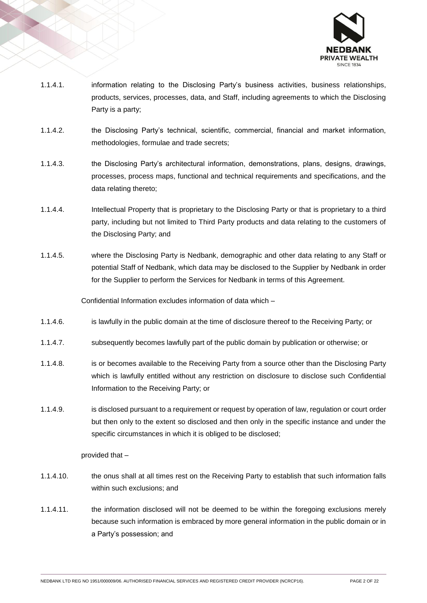

- 1.1.4.1. information relating to the Disclosing Party's business activities, business relationships, products, services, processes, data, and Staff, including agreements to which the Disclosing Party is a party;
- 1.1.4.2. the Disclosing Party's technical, scientific, commercial, financial and market information, methodologies, formulae and trade secrets;
- 1.1.4.3. the Disclosing Party's architectural information, demonstrations, plans, designs, drawings, processes, process maps, functional and technical requirements and specifications, and the data relating thereto;
- 1.1.4.4. Intellectual Property that is proprietary to the Disclosing Party or that is proprietary to a third party, including but not limited to Third Party products and data relating to the customers of the Disclosing Party; and
- 1.1.4.5. where the Disclosing Party is Nedbank, demographic and other data relating to any Staff or potential Staff of Nedbank, which data may be disclosed to the Supplier by Nedbank in order for the Supplier to perform the Services for Nedbank in terms of this Agreement.

Confidential Information excludes information of data which –

- 1.1.4.6. is lawfully in the public domain at the time of disclosure thereof to the Receiving Party; or
- 1.1.4.7. subsequently becomes lawfully part of the public domain by publication or otherwise; or
- 1.1.4.8. is or becomes available to the Receiving Party from a source other than the Disclosing Party which is lawfully entitled without any restriction on disclosure to disclose such Confidential Information to the Receiving Party; or
- 1.1.4.9. is disclosed pursuant to a requirement or request by operation of law, regulation or court order but then only to the extent so disclosed and then only in the specific instance and under the specific circumstances in which it is obliged to be disclosed;

provided that –

- 1.1.4.10. the onus shall at all times rest on the Receiving Party to establish that such information falls within such exclusions; and
- 1.1.4.11. the information disclosed will not be deemed to be within the foregoing exclusions merely because such information is embraced by more general information in the public domain or in a Party's possession; and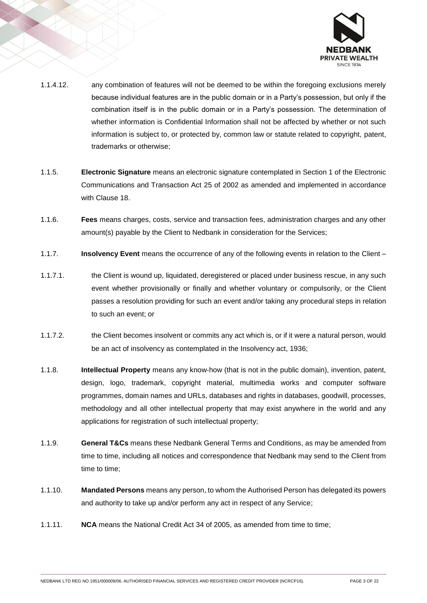

- 1.1.4.12. any combination of features will not be deemed to be within the foregoing exclusions merely because individual features are in the public domain or in a Party's possession, but only if the combination itself is in the public domain or in a Party's possession. The determination of whether information is Confidential Information shall not be affected by whether or not such information is subject to, or protected by, common law or statute related to copyright, patent, trademarks or otherwise;
- 1.1.5. **Electronic Signature** means an electronic signature contemplated in Section 1 of the Electronic Communications and Transaction Act 25 of 2002 as amended and implemented in accordance with Clause 18.
- 1.1.6. **Fees** means charges, costs, service and transaction fees, administration charges and any other amount(s) payable by the Client to Nedbank in consideration for the Services;
- 1.1.7. **Insolvency Event** means the occurrence of any of the following events in relation to the Client –
- 1.1.7.1. the Client is wound up, liquidated, deregistered or placed under business rescue, in any such event whether provisionally or finally and whether voluntary or compulsorily, or the Client passes a resolution providing for such an event and/or taking any procedural steps in relation to such an event; or
- 1.1.7.2. the Client becomes insolvent or commits any act which is, or if it were a natural person, would be an act of insolvency as contemplated in the Insolvency act, 1936;
- 1.1.8. **Intellectual Property** means any know-how (that is not in the public domain), invention, patent, design, logo, trademark, copyright material, multimedia works and computer software programmes, domain names and URLs, databases and rights in databases, goodwill, processes, methodology and all other intellectual property that may exist anywhere in the world and any applications for registration of such intellectual property;
- 1.1.9. **General T&Cs** means these Nedbank General Terms and Conditions, as may be amended from time to time, including all notices and correspondence that Nedbank may send to the Client from time to time;
- 1.1.10. **Mandated Persons** means any person, to whom the Authorised Person has delegated its powers and authority to take up and/or perform any act in respect of any Service;
- 1.1.11. **NCA** means the National Credit Act 34 of 2005, as amended from time to time;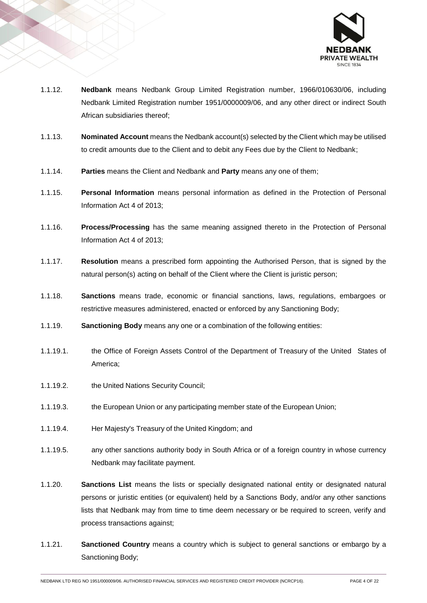

- 1.1.12. **Nedbank** means Nedbank Group Limited Registration number, 1966/010630/06, including Nedbank Limited Registration number 1951/0000009/06, and any other direct or indirect South African subsidiaries thereof;
- 1.1.13. **Nominated Account** means the Nedbank account(s) selected by the Client which may be utilised to credit amounts due to the Client and to debit any Fees due by the Client to Nedbank;
- 1.1.14. **Parties** means the Client and Nedbank and **Party** means any one of them;
- 1.1.15. **Personal Information** means personal information as defined in the Protection of Personal Information Act 4 of 2013;
- 1.1.16. **Process/Processing** has the same meaning assigned thereto in the Protection of Personal Information Act 4 of 2013;
- 1.1.17. **Resolution** means a prescribed form appointing the Authorised Person, that is signed by the natural person(s) acting on behalf of the Client where the Client is juristic person;
- 1.1.18. **Sanctions** means trade, economic or financial sanctions, laws, regulations, embargoes or restrictive measures administered, enacted or enforced by any Sanctioning Body;
- 1.1.19. **Sanctioning Body** means any one or a combination of the following entities:
- 1.1.19.1. the Office of Foreign Assets Control of the Department of Treasury of the United States of America;
- 1.1.19.2. the United Nations Security Council;
- 1.1.19.3. the European Union or any participating member state of the European Union;
- 1.1.19.4. Her Majesty's Treasury of the United Kingdom; and
- 1.1.19.5. any other sanctions authority body in South Africa or of a foreign country in whose currency Nedbank may facilitate payment.
- 1.1.20. **Sanctions List** means the lists or specially designated national entity or designated natural persons or juristic entities (or equivalent) held by a Sanctions Body, and/or any other sanctions lists that Nedbank may from time to time deem necessary or be required to screen, verify and process transactions against;
- 1.1.21. **Sanctioned Country** means a country which is subject to general sanctions or embargo by a Sanctioning Body;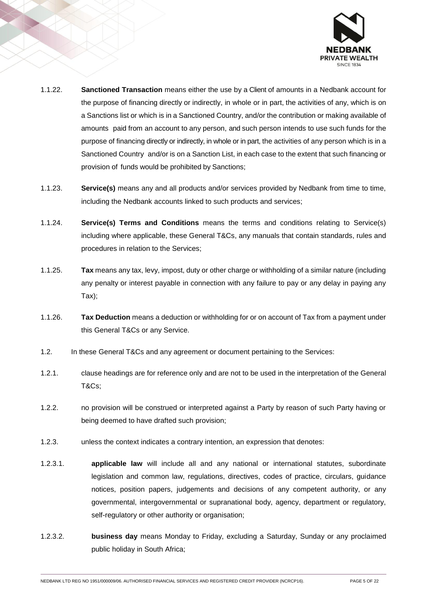

- 1.1.22. **Sanctioned Transaction** means either the use by a Client of amounts in a Nedbank account for the purpose of financing directly or indirectly, in whole or in part, the activities of any, which is on a Sanctions list or which is in a Sanctioned Country, and/or the contribution or making available of amounts paid from an account to any person, and such person intends to use such funds for the purpose of financing directly or indirectly, in whole or in part, the activities of any person which is in a Sanctioned Country and/or is on a Sanction List, in each case to the extent that such financing or provision of funds would be prohibited by Sanctions;
- 1.1.23. **Service(s)** means any and all products and/or services provided by Nedbank from time to time, including the Nedbank accounts linked to such products and services;
- 1.1.24. **Service(s) Terms and Conditions** means the terms and conditions relating to Service(s) including where applicable, these General T&Cs, any manuals that contain standards, rules and procedures in relation to the Services;
- 1.1.25. **Tax** means any tax, levy, impost, duty or other charge or withholding of a similar nature (including any penalty or interest payable in connection with any failure to pay or any delay in paying any Tax);
- 1.1.26. **Tax Deduction** means a deduction or withholding for or on account of Tax from a payment under this General T&Cs or any Service.
- 1.2. In these General T&Cs and any agreement or document pertaining to the Services:
- 1.2.1. clause headings are for reference only and are not to be used in the interpretation of the General T&Cs;
- 1.2.2. no provision will be construed or interpreted against a Party by reason of such Party having or being deemed to have drafted such provision;
- 1.2.3. unless the context indicates a contrary intention, an expression that denotes:
- 1.2.3.1. **applicable law** will include all and any national or international statutes, subordinate legislation and common law, regulations, directives, codes of practice, circulars, guidance notices, position papers, judgements and decisions of any competent authority, or any governmental, intergovernmental or supranational body, agency, department or regulatory, self-regulatory or other authority or organisation;
- 1.2.3.2. **business day** means Monday to Friday, excluding a Saturday, Sunday or any proclaimed public holiday in South Africa;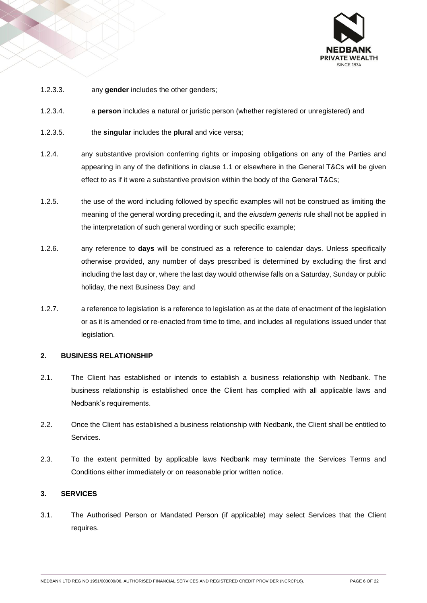

- 1.2.3.3. any **gender** includes the other genders;
- 1.2.3.4. a **person** includes a natural or juristic person (whether registered or unregistered) and
- 1.2.3.5. the **singular** includes the **plural** and vice versa;
- 1.2.4. any substantive provision conferring rights or imposing obligations on any of the Parties and appearing in any of the definitions in clause [1.1](#page-0-0) or elsewhere in the General T&Cs will be given effect to as if it were a substantive provision within the body of the General T&Cs;
- 1.2.5. the use of the word including followed by specific examples will not be construed as limiting the meaning of the general wording preceding it, and the *eiusdem generis* rule shall not be applied in the interpretation of such general wording or such specific example;
- 1.2.6. any reference to **days** will be construed as a reference to calendar days. Unless specifically otherwise provided, any number of days prescribed is determined by excluding the first and including the last day or, where the last day would otherwise falls on a Saturday, Sunday or public holiday, the next Business Day; and
- 1.2.7. a reference to legislation is a reference to legislation as at the date of enactment of the legislation or as it is amended or re-enacted from time to time, and includes all regulations issued under that legislation.

#### **2. BUSINESS RELATIONSHIP**

- 2.1. The Client has established or intends to establish a business relationship with Nedbank. The business relationship is established once the Client has complied with all applicable laws and Nedbank's requirements.
- 2.2. Once the Client has established a business relationship with Nedbank, the Client shall be entitled to Services.
- 2.3. To the extent permitted by applicable laws Nedbank may terminate the Services Terms and Conditions either immediately or on reasonable prior written notice.

#### **3. SERVICES**

3.1. The Authorised Person or Mandated Person (if applicable) may select Services that the Client requires.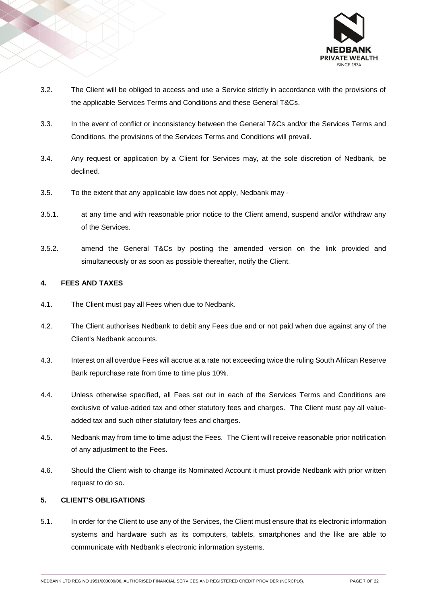

- 3.2. The Client will be obliged to access and use a Service strictly in accordance with the provisions of the applicable Services Terms and Conditions and these General T&Cs.
- 3.3. In the event of conflict or inconsistency between the General T&Cs and/or the Services Terms and Conditions, the provisions of the Services Terms and Conditions will prevail.
- 3.4. Any request or application by a Client for Services may, at the sole discretion of Nedbank, be declined.
- 3.5. To the extent that any applicable law does not apply, Nedbank may -
- 3.5.1. at any time and with reasonable prior notice to the Client amend, suspend and/or withdraw any of the Services.
- 3.5.2. amend the General T&Cs by posting the amended version on the link provided and simultaneously or as soon as possible thereafter, notify the Client.

# **4. FEES AND TAXES**

- 4.1. The Client must pay all Fees when due to Nedbank.
- 4.2. The Client authorises Nedbank to debit any Fees due and or not paid when due against any of the Client's Nedbank accounts.
- 4.3. Interest on all overdue Fees will accrue at a rate not exceeding twice the ruling South African Reserve Bank repurchase rate from time to time plus 10%.
- 4.4. Unless otherwise specified, all Fees set out in each of the Services Terms and Conditions are exclusive of value-added tax and other statutory fees and charges. The Client must pay all valueadded tax and such other statutory fees and charges.
- 4.5. Nedbank may from time to time adjust the Fees. The Client will receive reasonable prior notification of any adjustment to the Fees.
- 4.6. Should the Client wish to change its Nominated Account it must provide Nedbank with prior written request to do so.

# **5. CLIENT'S OBLIGATIONS**

5.1. In order for the Client to use any of the Services, the Client must ensure that its electronic information systems and hardware such as its computers, tablets, smartphones and the like are able to communicate with Nedbank's electronic information systems.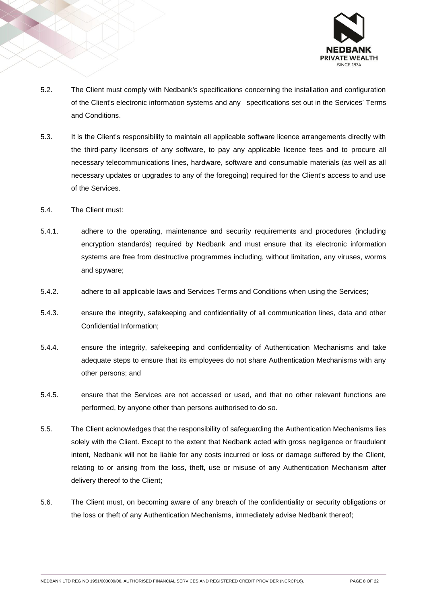

- 5.2. The Client must comply with Nedbank's specifications concerning the installation and configuration of the Client's electronic information systems and any specifications set out in the Services' Terms and Conditions.
- 5.3. It is the Client's responsibility to maintain all applicable software licence arrangements directly with the third-party licensors of any software, to pay any applicable licence fees and to procure all necessary telecommunications lines, hardware, software and consumable materials (as well as all necessary updates or upgrades to any of the foregoing) required for the Client's access to and use of the Services.
- 5.4. The Client must:
- 5.4.1. adhere to the operating, maintenance and security requirements and procedures (including encryption standards) required by Nedbank and must ensure that its electronic information systems are free from destructive programmes including, without limitation, any viruses, worms and spyware;
- 5.4.2. adhere to all applicable laws and Services Terms and Conditions when using the Services;
- 5.4.3. ensure the integrity, safekeeping and confidentiality of all communication lines, data and other Confidential Information;
- 5.4.4. ensure the integrity, safekeeping and confidentiality of Authentication Mechanisms and take adequate steps to ensure that its employees do not share Authentication Mechanisms with any other persons; and
- 5.4.5. ensure that the Services are not accessed or used, and that no other relevant functions are performed, by anyone other than persons authorised to do so.
- 5.5. The Client acknowledges that the responsibility of safeguarding the Authentication Mechanisms lies solely with the Client. Except to the extent that Nedbank acted with gross negligence or fraudulent intent, Nedbank will not be liable for any costs incurred or loss or damage suffered by the Client, relating to or arising from the loss, theft, use or misuse of any Authentication Mechanism after delivery thereof to the Client;
- 5.6. The Client must, on becoming aware of any breach of the confidentiality or security obligations or the loss or theft of any Authentication Mechanisms, immediately advise Nedbank thereof;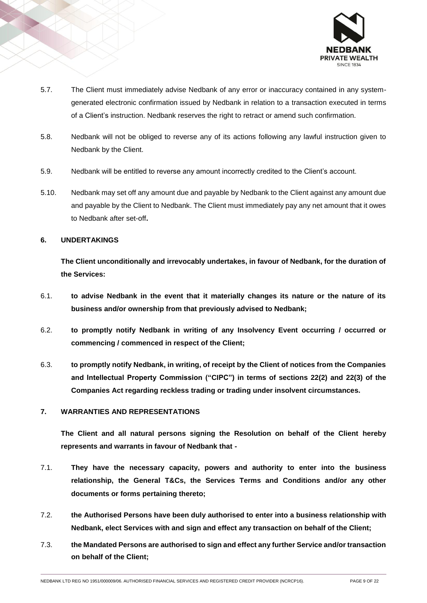

- 5.7. The Client must immediately advise Nedbank of any error or inaccuracy contained in any systemgenerated electronic confirmation issued by Nedbank in relation to a transaction executed in terms of a Client's instruction. Nedbank reserves the right to retract or amend such confirmation.
- 5.8. Nedbank will not be obliged to reverse any of its actions following any lawful instruction given to Nedbank by the Client.
- 5.9. Nedbank will be entitled to reverse any amount incorrectly credited to the Client's account.
- 5.10. Nedbank may set off any amount due and payable by Nedbank to the Client against any amount due and payable by the Client to Nedbank. The Client must immediately pay any net amount that it owes to Nedbank after set-off**.**

#### **6. UNDERTAKINGS**

**The Client unconditionally and irrevocably undertakes, in favour of Nedbank, for the duration of the Services:**

- 6.1. **to advise Nedbank in the event that it materially changes its nature or the nature of its business and/or ownership from that previously advised to Nedbank;**
- 6.2. **to promptly notify Nedbank in writing of any Insolvency Event occurring / occurred or commencing / commenced in respect of the Client;**
- 6.3. **to promptly notify Nedbank, in writing, of receipt by the Client of notices from the Companies and Intellectual Property Commission ("CIPC") in terms of sections 22(2) and 22(3) of the Companies Act regarding reckless trading or trading under insolvent circumstances.**

# **7. WARRANTIES AND REPRESENTATIONS**

**The Client and all natural persons signing the Resolution on behalf of the Client hereby represents and warrants in favour of Nedbank that -**

- 7.1. **They have the necessary capacity, powers and authority to enter into the business relationship, the General T&Cs, the Services Terms and Conditions and/or any other documents or forms pertaining thereto;**
- 7.2. **the Authorised Persons have been duly authorised to enter into a business relationship with Nedbank, elect Services with and sign and effect any transaction on behalf of the Client;**
- 7.3. **the Mandated Persons are authorised to sign and effect any further Service and/or transaction on behalf of the Client;**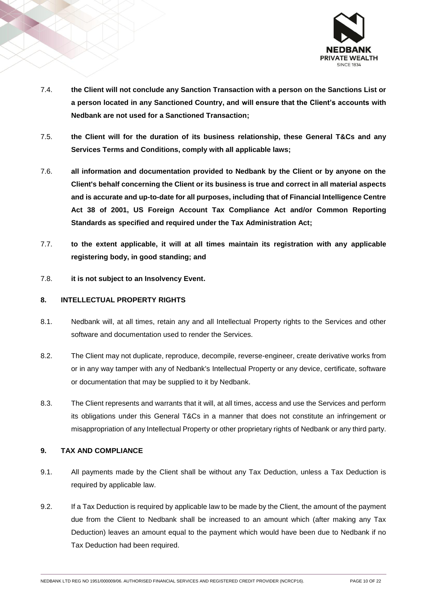

- 7.4. **the Client will not conclude any Sanction Transaction with a person on the Sanctions List or a person located in any Sanctioned Country, and will ensure that the Client's accounts with Nedbank are not used for a Sanctioned Transaction;**
- 7.5. **the Client will for the duration of its business relationship, these General T&Cs and any Services Terms and Conditions, comply with all applicable laws;**
- 7.6. **all information and documentation provided to Nedbank by the Client or by anyone on the Client's behalf concerning the Client or its business is true and correct in all material aspects and is accurate and up-to-date for all purposes, including that of Financial Intelligence Centre Act 38 of 2001, US Foreign Account Tax Compliance Act and/or Common Reporting Standards as specified and required under the Tax Administration Act;**
- 7.7. **to the extent applicable, it will at all times maintain its registration with any applicable registering body, in good standing; and**
- 7.8. **it is not subject to an Insolvency Event.**

# **8. INTELLECTUAL PROPERTY RIGHTS**

- 8.1. Nedbank will, at all times, retain any and all Intellectual Property rights to the Services and other software and documentation used to render the Services.
- 8.2. The Client may not duplicate, reproduce, decompile, reverse-engineer, create derivative works from or in any way tamper with any of Nedbank's Intellectual Property or any device, certificate, software or documentation that may be supplied to it by Nedbank.
- 8.3. The Client represents and warrants that it will, at all times, access and use the Services and perform its obligations under this General T&Cs in a manner that does not constitute an infringement or misappropriation of any Intellectual Property or other proprietary rights of Nedbank or any third party.

### **9. TAX AND COMPLIANCE**

- 9.1. All payments made by the Client shall be without any Tax Deduction, unless a Tax Deduction is required by applicable law.
- 9.2. If a Tax Deduction is required by applicable law to be made by the Client, the amount of the payment due from the Client to Nedbank shall be increased to an amount which (after making any Tax Deduction) leaves an amount equal to the payment which would have been due to Nedbank if no Tax Deduction had been required.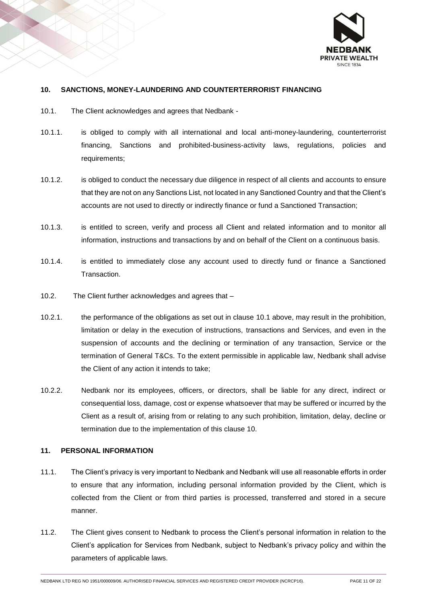

# <span id="page-10-1"></span>**10. SANCTIONS, MONEY-LAUNDERING AND COUNTERTERRORIST FINANCING**

- <span id="page-10-0"></span>10.1. The Client acknowledges and agrees that Nedbank -
- 10.1.1. is obliged to comply with all international and local anti-money-laundering, counterterrorist financing, Sanctions and prohibited-business-activity laws, regulations, policies and requirements;
- 10.1.2. is obliged to conduct the necessary due diligence in respect of all clients and accounts to ensure that they are not on any Sanctions List, not located in any Sanctioned Country and that the Client's accounts are not used to directly or indirectly finance or fund a Sanctioned Transaction;
- 10.1.3. is entitled to screen, verify and process all Client and related information and to monitor all information, instructions and transactions by and on behalf of the Client on a continuous basis.
- 10.1.4. is entitled to immediately close any account used to directly fund or finance a Sanctioned Transaction.
- 10.2. The Client further acknowledges and agrees that –
- 10.2.1. the performance of the obligations as set out in clause [10.1](#page-10-0) above, may result in the prohibition, limitation or delay in the execution of instructions, transactions and Services, and even in the suspension of accounts and the declining or termination of any transaction, Service or the termination of General T&Cs. To the extent permissible in applicable law, Nedbank shall advise the Client of any action it intends to take;
- 10.2.2. Nedbank nor its employees, officers, or directors, shall be liable for any direct, indirect or consequential loss, damage, cost or expense whatsoever that may be suffered or incurred by the Client as a result of, arising from or relating to any such prohibition, limitation, delay, decline or termination due to the implementation of this clause [10.](#page-10-1)

#### **11. PERSONAL INFORMATION**

- 11.1. The Client's privacy is very important to Nedbank and Nedbank will use all reasonable efforts in order to ensure that any information, including personal information provided by the Client, which is collected from the Client or from third parties is processed, transferred and stored in a secure manner.
- 11.2. The Client gives consent to Nedbank to process the Client's personal information in relation to the Client's application for Services from Nedbank, subject to Nedbank's privacy policy and within the parameters of applicable laws.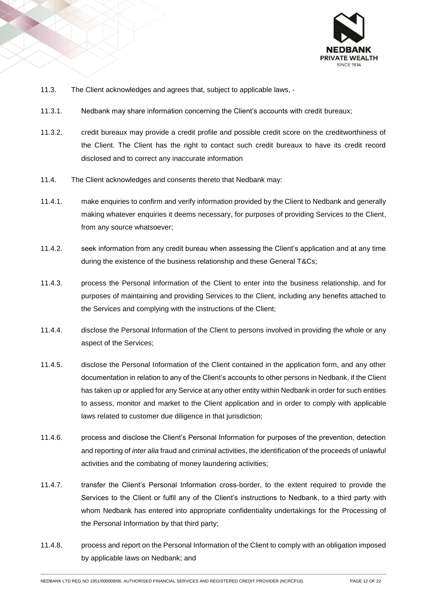

- 11.3. The Client acknowledges and agrees that, subject to applicable laws, -
- 11.3.1. Nedbank may share information concerning the Client's accounts with credit bureaux;
- 11.3.2. credit bureaux may provide a credit profile and possible credit score on the creditworthiness of the Client. The Client has the right to contact such credit bureaux to have its credit record disclosed and to correct any inaccurate information
- 11.4. The Client acknowledges and consents thereto that Nedbank may:
- 11.4.1. make enquiries to confirm and verify information provided by the Client to Nedbank and generally making whatever enquiries it deems necessary, for purposes of providing Services to the Client, from any source whatsoever;
- 11.4.2. seek information from any credit bureau when assessing the Client's application and at any time during the existence of the business relationship and these General T&Cs;
- 11.4.3. process the Personal Information of the Client to enter into the business relationship, and for purposes of maintaining and providing Services to the Client, including any benefits attached to the Services and complying with the instructions of the Client;
- 11.4.4. disclose the Personal Information of the Client to persons involved in providing the whole or any aspect of the Services;
- 11.4.5. disclose the Personal Information of the Client contained in the application form, and any other documentation in relation to any of the Client's accounts to other persons in Nedbank, if the Client has taken up or applied for any Service at any other entity within Nedbank in order for such entities to assess, monitor and market to the Client application and in order to comply with applicable laws related to customer due diligence in that jurisdiction;
- 11.4.6. process and disclose the Client's Personal Information for purposes of the prevention, detection and reporting of *inter alia* fraud and criminal activities, the identification of the proceeds of unlawful activities and the combating of money laundering activities;
- 11.4.7. transfer the Client's Personal Information cross-border, to the extent required to provide the Services to the Client or fulfil any of the Client's instructions to Nedbank, to a third party with whom Nedbank has entered into appropriate confidentiality undertakings for the Processing of the Personal Information by that third party;
- 11.4.8. process and report on the Personal Information of the Client to comply with an obligation imposed by applicable laws on Nedbank; and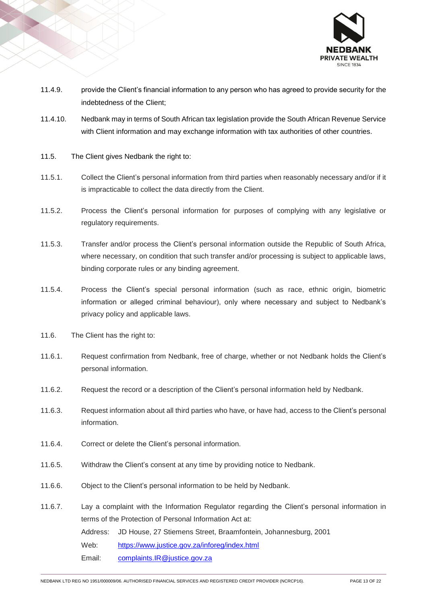

- 11.4.9. provide the Client's financial information to any person who has agreed to provide security for the indebtedness of the Client;
- 11.4.10. Nedbank may in terms of South African tax legislation provide the South African Revenue Service with Client information and may exchange information with tax authorities of other countries.
- 11.5. The Client gives Nedbank the right to:
- 11.5.1. Collect the Client's personal information from third parties when reasonably necessary and/or if it is impracticable to collect the data directly from the Client.
- 11.5.2. Process the Client's personal information for purposes of complying with any legislative or regulatory requirements.
- 11.5.3. Transfer and/or process the Client's personal information outside the Republic of South Africa, where necessary, on condition that such transfer and/or processing is subject to applicable laws, binding corporate rules or any binding agreement.
- 11.5.4. Process the Client's special personal information (such as race, ethnic origin, biometric information or alleged criminal behaviour), only where necessary and subject to Nedbank's privacy policy and applicable laws.
- 11.6. The Client has the right to:
- 11.6.1. Request confirmation from Nedbank, free of charge, whether or not Nedbank holds the Client's personal information.
- 11.6.2. Request the record or a description of the Client's personal information held by Nedbank.
- 11.6.3. Request information about all third parties who have, or have had, access to the Client's personal information.
- 11.6.4. Correct or delete the Client's personal information.
- 11.6.5. Withdraw the Client's consent at any time by providing notice to Nedbank.
- 11.6.6. Object to the Client's personal information to be held by Nedbank.
- 11.6.7. Lay a complaint with the Information Regulator regarding the Client's personal information in terms of the Protection of Personal Information Act at: Address: JD House, 27 Stiemens Street, Braamfontein, Johannesburg, 2001 Web: <https://www.justice.gov.za/inforeg/index.html> Email: [complaints.IR@justice.gov.za](mailto:complaints.IR@justice.gov.za)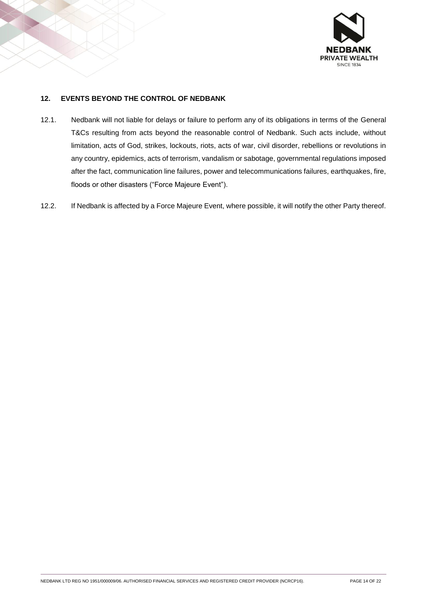

# **12. EVENTS BEYOND THE CONTROL OF NEDBANK**

- 12.1. Nedbank will not liable for delays or failure to perform any of its obligations in terms of the General T&Cs resulting from acts beyond the reasonable control of Nedbank. Such acts include, without limitation, acts of God, strikes, lockouts, riots, acts of war, civil disorder, rebellions or revolutions in any country, epidemics, acts of terrorism, vandalism or sabotage, governmental regulations imposed after the fact, communication line failures, power and telecommunications failures, earthquakes, fire, floods or other disasters ("Force Majeure Event").
- 12.2. If Nedbank is affected by a Force Majeure Event, where possible, it will notify the other Party thereof.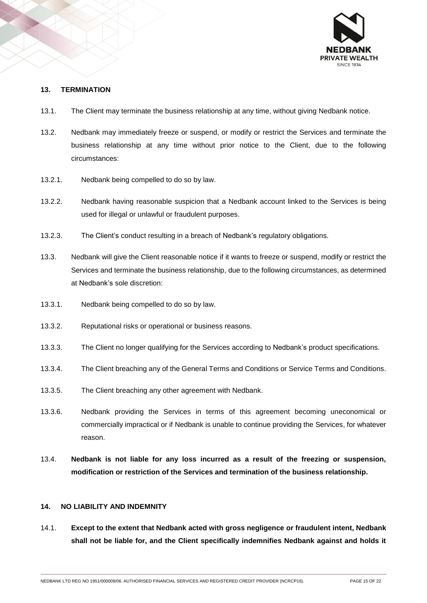

#### **13. TERMINATION**

- 13.1. The Client may terminate the business relationship at any time, without giving Nedbank notice.
- 13.2. Nedbank may immediately freeze or suspend, or modify or restrict the Services and terminate the business relationship at any time without prior notice to the Client, due to the following circumstances:
- 13.2.1. Nedbank being compelled to do so by law.
- 13.2.2. Nedbank having reasonable suspicion that a Nedbank account linked to the Services is being used for illegal or unlawful or fraudulent purposes.
- 13.2.3. The Client's conduct resulting in a breach of Nedbank's regulatory obligations.
- 13.3. Nedbank will give the Client reasonable notice if it wants to freeze or suspend, modify or restrict the Services and terminate the business relationship, due to the following circumstances, as determined at Nedbank's sole discretion:
- 13.3.1. Nedbank being compelled to do so by law.
- 13.3.2. Reputational risks or operational or business reasons.
- 13.3.3. The Client no longer qualifying for the Services according to Nedbank's product specifications.
- 13.3.4. The Client breaching any of the General Terms and Conditions or Service Terms and Conditions.
- 13.3.5. The Client breaching any other agreement with Nedbank.
- 13.3.6. Nedbank providing the Services in terms of this agreement becoming uneconomical or commercially impractical or if Nedbank is unable to continue providing the Services, for whatever reason.
- 13.4. **Nedbank is not liable for any loss incurred as a result of the freezing or suspension, modification or restriction of the Services and termination of the business relationship.**

#### **14. NO LIABILITY AND INDEMNITY**

14.1. **Except to the extent that Nedbank acted with gross negligence or fraudulent intent, Nedbank shall not be liable for, and the Client specifically indemnifies Nedbank against and holds it**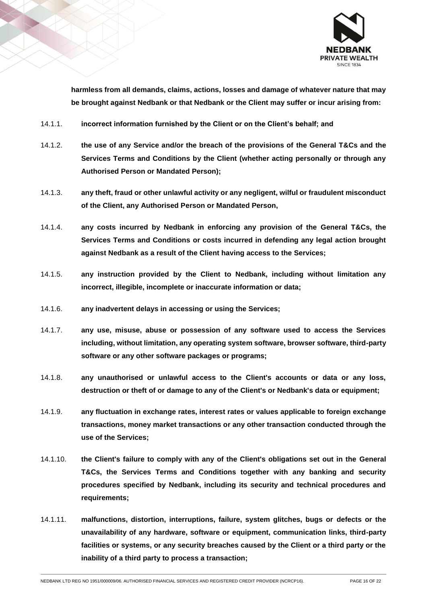

**harmless from all demands, claims, actions, losses and damage of whatever nature that may be brought against Nedbank or that Nedbank or the Client may suffer or incur arising from:**

- 14.1.1. **incorrect information furnished by the Client or on the Client's behalf; and**
- 14.1.2. **the use of any Service and/or the breach of the provisions of the General T&Cs and the Services Terms and Conditions by the Client (whether acting personally or through any Authorised Person or Mandated Person);**
- 14.1.3. **any theft, fraud or other unlawful activity or any negligent, wilful or fraudulent misconduct of the Client, any Authorised Person or Mandated Person,**
- 14.1.4. **any costs incurred by Nedbank in enforcing any provision of the General T&Cs, the Services Terms and Conditions or costs incurred in defending any legal action brought against Nedbank as a result of the Client having access to the Services;**
- 14.1.5. **any instruction provided by the Client to Nedbank, including without limitation any incorrect, illegible, incomplete or inaccurate information or data;**
- 14.1.6. **any inadvertent delays in accessing or using the Services;**
- 14.1.7. **any use, misuse, abuse or possession of any software used to access the Services including, without limitation, any operating system software, browser software, third-party software or any other software packages or programs;**
- 14.1.8. **any unauthorised or unlawful access to the Client's accounts or data or any loss, destruction or theft of or damage to any of the Client's or Nedbank's data or equipment;**
- 14.1.9. **any fluctuation in exchange rates, interest rates or values applicable to foreign exchange transactions, money market transactions or any other transaction conducted through the use of the Services;**
- 14.1.10. **the Client's failure to comply with any of the Client's obligations set out in the General T&Cs, the Services Terms and Conditions together with any banking and security procedures specified by Nedbank, including its security and technical procedures and requirements;**
- 14.1.11. **malfunctions, distortion, interruptions, failure, system glitches, bugs or defects or the unavailability of any hardware, software or equipment, communication links, third-party facilities or systems, or any security breaches caused by the Client or a third party or the inability of a third party to process a transaction;**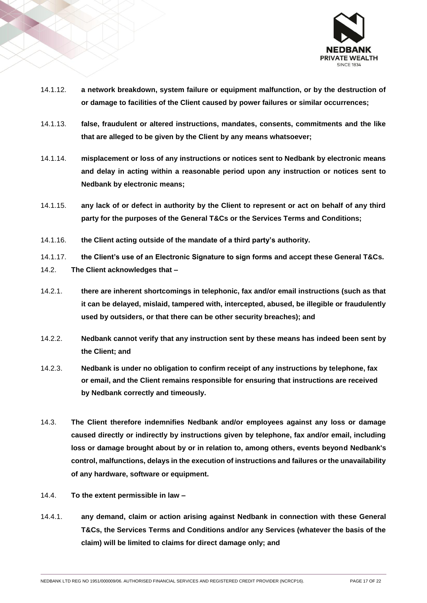

- 14.1.12. **a network breakdown, system failure or equipment malfunction, or by the destruction of or damage to facilities of the Client caused by power failures or similar occurrences;**
- 14.1.13. **false, fraudulent or altered instructions, mandates, consents, commitments and the like that are alleged to be given by the Client by any means whatsoever;**
- 14.1.14. **misplacement or loss of any instructions or notices sent to Nedbank by electronic means and delay in acting within a reasonable period upon any instruction or notices sent to Nedbank by electronic means;**
- 14.1.15. **any lack of or defect in authority by the Client to represent or act on behalf of any third party for the purposes of the General T&Cs or the Services Terms and Conditions;**
- 14.1.16. **the Client acting outside of the mandate of a third party's authority.**
- 14.1.17. **the Client's use of an Electronic Signature to sign forms and accept these General T&Cs.**
- 14.2. **The Client acknowledges that –**
- 14.2.1. **there are inherent shortcomings in telephonic, fax and/or email instructions (such as that it can be delayed, mislaid, tampered with, intercepted, abused, be illegible or fraudulently used by outsiders, or that there can be other security breaches); and**
- 14.2.2. **Nedbank cannot verify that any instruction sent by these means has indeed been sent by the Client; and**
- 14.2.3. **Nedbank is under no obligation to confirm receipt of any instructions by telephone, fax or email, and the Client remains responsible for ensuring that instructions are received by Nedbank correctly and timeously.**
- 14.3. **The Client therefore indemnifies Nedbank and/or employees against any loss or damage caused directly or indirectly by instructions given by telephone, fax and/or email, including loss or damage brought about by or in relation to, among others, events beyond Nedbank's control, malfunctions, delays in the execution of instructions and failures or the unavailability of any hardware, software or equipment.**
- 14.4. **To the extent permissible in law –**
- 14.4.1. **any demand, claim or action arising against Nedbank in connection with these General T&Cs, the Services Terms and Conditions and/or any Services (whatever the basis of the claim) will be limited to claims for direct damage only; and**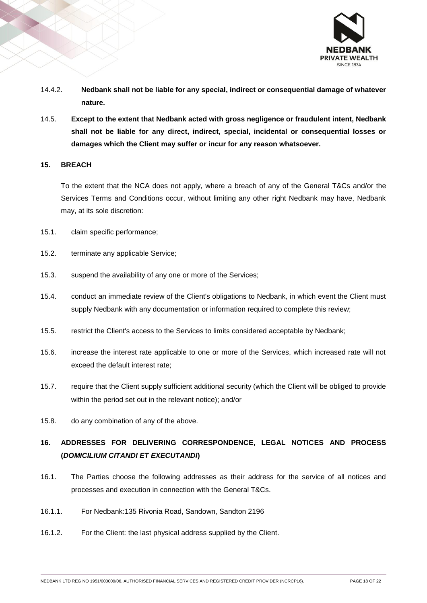

- 14.4.2. **Nedbank shall not be liable for any special, indirect or consequential damage of whatever nature.**
- 14.5. **Except to the extent that Nedbank acted with gross negligence or fraudulent intent, Nedbank shall not be liable for any direct, indirect, special, incidental or consequential losses or damages which the Client may suffer or incur for any reason whatsoever.**

#### **15. BREACH**

To the extent that the NCA does not apply, where a breach of any of the General T&Cs and/or the Services Terms and Conditions occur, without limiting any other right Nedbank may have, Nedbank may, at its sole discretion:

- 15.1. claim specific performance;
- 15.2. terminate any applicable Service;
- 15.3. suspend the availability of any one or more of the Services;
- 15.4. conduct an immediate review of the Client's obligations to Nedbank, in which event the Client must supply Nedbank with any documentation or information required to complete this review;
- 15.5. restrict the Client's access to the Services to limits considered acceptable by Nedbank;
- 15.6. increase the interest rate applicable to one or more of the Services, which increased rate will not exceed the default interest rate;
- 15.7. require that the Client supply sufficient additional security (which the Client will be obliged to provide within the period set out in the relevant notice); and/or
- 15.8. do any combination of any of the above.

# **16. ADDRESSES FOR DELIVERING CORRESPONDENCE, LEGAL NOTICES AND PROCESS (***DOMICILIUM CITANDI ET EXECUTANDI***)**

- 16.1. The Parties choose the following addresses as their address for the service of all notices and processes and execution in connection with the General T&Cs.
- 16.1.1. For Nedbank:135 Rivonia Road, Sandown, Sandton 2196
- 16.1.2. For the Client: the last physical address supplied by the Client.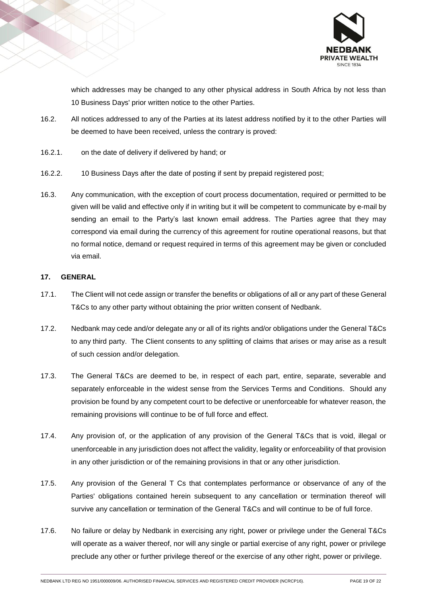

which addresses may be changed to any other physical address in South Africa by not less than 10 Business Days' prior written notice to the other Parties.

- 16.2. All notices addressed to any of the Parties at its latest address notified by it to the other Parties will be deemed to have been received, unless the contrary is proved:
- 16.2.1. on the date of delivery if delivered by hand; or
- 16.2.2. 10 Business Days after the date of posting if sent by prepaid registered post;
- 16.3. Any communication, with the exception of court process documentation, required or permitted to be given will be valid and effective only if in writing but it will be competent to communicate by e-mail by sending an email to the Party's last known email address. The Parties agree that they may correspond via email during the currency of this agreement for routine operational reasons, but that no formal notice, demand or request required in terms of this agreement may be given or concluded via email.

#### **17. GENERAL**

- 17.1. The Client will not cede assign or transfer the benefits or obligations of all or any part of these General T&Cs to any other party without obtaining the prior written consent of Nedbank.
- 17.2. Nedbank may cede and/or delegate any or all of its rights and/or obligations under the General T&Cs to any third party. The Client consents to any splitting of claims that arises or may arise as a result of such cession and/or delegation.
- 17.3. The General T&Cs are deemed to be, in respect of each part, entire, separate, severable and separately enforceable in the widest sense from the Services Terms and Conditions. Should any provision be found by any competent court to be defective or unenforceable for whatever reason, the remaining provisions will continue to be of full force and effect.
- 17.4. Any provision of, or the application of any provision of the General T&Cs that is void, illegal or unenforceable in any jurisdiction does not affect the validity, legality or enforceability of that provision in any other jurisdiction or of the remaining provisions in that or any other jurisdiction.
- 17.5. Any provision of the General T Cs that contemplates performance or observance of any of the Parties' obligations contained herein subsequent to any cancellation or termination thereof will survive any cancellation or termination of the General T&Cs and will continue to be of full force.
- 17.6. No failure or delay by Nedbank in exercising any right, power or privilege under the General T&Cs will operate as a waiver thereof, nor will any single or partial exercise of any right, power or privilege preclude any other or further privilege thereof or the exercise of any other right, power or privilege.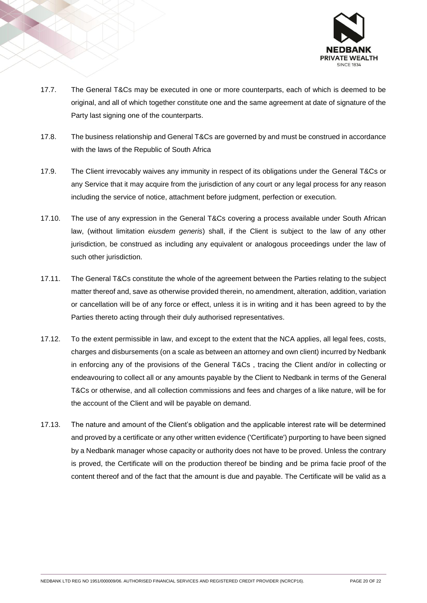

- 17.7. The General T&Cs may be executed in one or more counterparts, each of which is deemed to be original, and all of which together constitute one and the same agreement at date of signature of the Party last signing one of the counterparts.
- 17.8. The business relationship and General T&Cs are governed by and must be construed in accordance with the laws of the Republic of South Africa
- 17.9. The Client irrevocably waives any immunity in respect of its obligations under the General T&Cs or any Service that it may acquire from the jurisdiction of any court or any legal process for any reason including the service of notice, attachment before judgment, perfection or execution.
- 17.10. The use of any expression in the General T&Cs covering a process available under South African law, (without limitation *eiusdem generis*) shall, if the Client is subject to the law of any other jurisdiction, be construed as including any equivalent or analogous proceedings under the law of such other jurisdiction.
- 17.11. The General T&Cs constitute the whole of the agreement between the Parties relating to the subject matter thereof and, save as otherwise provided therein, no amendment, alteration, addition, variation or cancellation will be of any force or effect, unless it is in writing and it has been agreed to by the Parties thereto acting through their duly authorised representatives.
- 17.12. To the extent permissible in law, and except to the extent that the NCA applies, all legal fees, costs, charges and disbursements (on a scale as between an attorney and own client) incurred by Nedbank in enforcing any of the provisions of the General T&Cs , tracing the Client and/or in collecting or endeavouring to collect all or any amounts payable by the Client to Nedbank in terms of the General T&Cs or otherwise, and all collection commissions and fees and charges of a like nature, will be for the account of the Client and will be payable on demand.
- 17.13. The nature and amount of the Client's obligation and the applicable interest rate will be determined and proved by a certificate or any other written evidence ('Certificate') purporting to have been signed by a Nedbank manager whose capacity or authority does not have to be proved. Unless the contrary is proved, the Certificate will on the production thereof be binding and be prima facie proof of the content thereof and of the fact that the amount is due and payable. The Certificate will be valid as a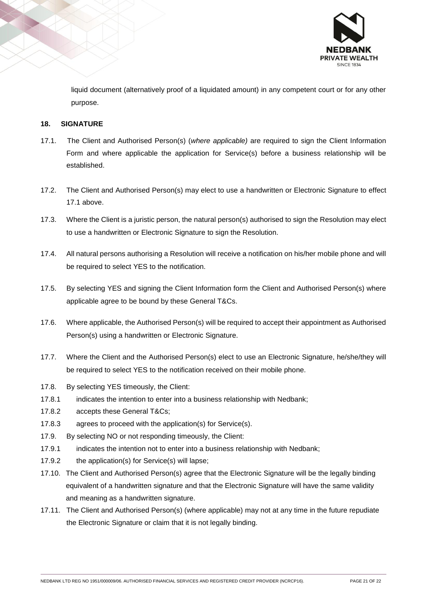

liquid document (alternatively proof of a liquidated amount) in any competent court or for any other purpose.

# **18. SIGNATURE**

- 17.1. The Client and Authorised Person(s) (*where applicable)* are required to sign the Client Information Form and where applicable the application for Service(s) before a business relationship will be established.
- 17.2. The Client and Authorised Person(s) may elect to use a handwritten or Electronic Signature to effect 17.1 above.
- 17.3. Where the Client is a juristic person, the natural person(s) authorised to sign the Resolution may elect to use a handwritten or Electronic Signature to sign the Resolution.
- 17.4. All natural persons authorising a Resolution will receive a notification on his/her mobile phone and will be required to select YES to the notification.
- 17.5. By selecting YES and signing the Client Information form the Client and Authorised Person(s) where applicable agree to be bound by these General T&Cs.
- 17.6. Where applicable, the Authorised Person(s) will be required to accept their appointment as Authorised Person(s) using a handwritten or Electronic Signature.
- 17.7. Where the Client and the Authorised Person(s) elect to use an Electronic Signature, he/she/they will be required to select YES to the notification received on their mobile phone.
- 17.8. By selecting YES timeously, the Client:
- 17.8.1 indicates the intention to enter into a business relationship with Nedbank;
- 17.8.2 accepts these General T&Cs;
- 17.8.3 agrees to proceed with the application(s) for Service(s).
- 17.9. By selecting NO or not responding timeously, the Client:
- 17.9.1 indicates the intention not to enter into a business relationship with Nedbank;
- 17.9.2 the application(s) for Service(s) will lapse;
- 17.10. The Client and Authorised Person(s) agree that the Electronic Signature will be the legally binding equivalent of a handwritten signature and that the Electronic Signature will have the same validity and meaning as a handwritten signature.
- 17.11. The Client and Authorised Person(s) (where applicable) may not at any time in the future repudiate the Electronic Signature or claim that it is not legally binding.